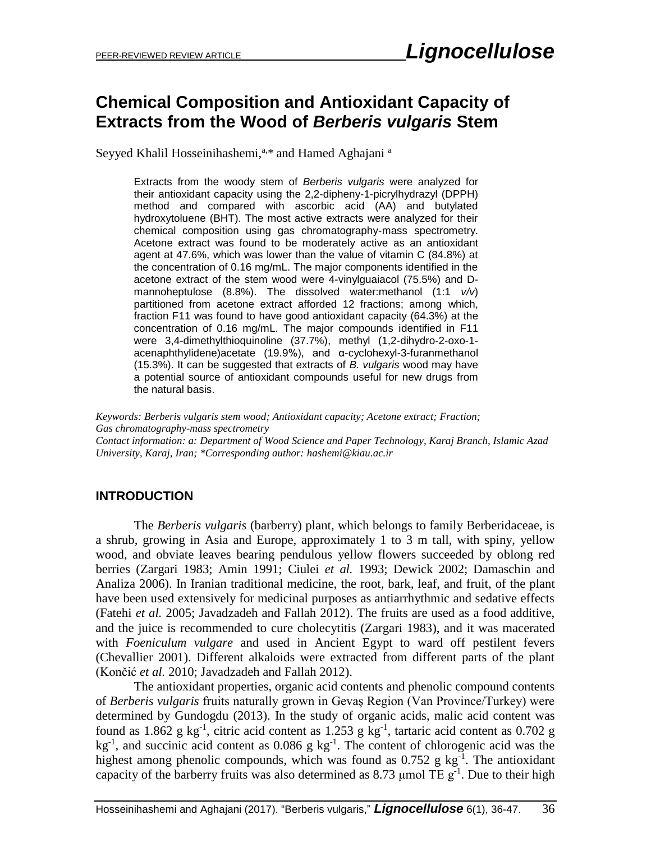# **Chemical Composition and Antioxidant Capacity of Extracts from the Wood of** *Berberis vulgaris* **Stem**

Seyyed Khalil Hosseinihashemi, $a_{ab}$  and Hamed Aghajani  $a_{ab}$ 

Extracts from the woody stem of *Berberis vulgaris* were analyzed for their antioxidant capacity using the 2,2-dipheny-1-picrylhydrazyl (DPPH) method and compared with ascorbic acid (AA) and butylated hydroxytoluene (BHT). The most active extracts were analyzed for their chemical composition using gas chromatography-mass spectrometry. Acetone extract was found to be moderately active as an antioxidant agent at 47.6%, which was lower than the value of vitamin C (84.8%) at the concentration of 0.16 mg/mL. The major components identified in the acetone extract of the stem wood were 4-vinylguaiacol (75.5%) and Dmannoheptulose (8.8%). The dissolved water:methanol (1:1 *v/v*) partitioned from acetone extract afforded 12 fractions; among which, fraction F11 was found to have good antioxidant capacity (64.3%) at the concentration of 0.16 mg/mL. The major compounds identified in F11 were 3,4-dimethylthioquinoline (37.7%), methyl (1,2-dihydro-2-oxo-1 acenaphthylidene)acetate (19.9%), and α-cyclohexyl-3-furanmethanol (15.3%). It can be suggested that extracts of *B. vulgaris* wood may have a potential source of antioxidant compounds useful for new drugs from the natural basis.

*Keywords: Berberis vulgaris stem wood; Antioxidant capacity; Acetone extract; Fraction; Gas chromatography-mass spectrometry Contact information: a: Department of Wood Science and Paper Technology, Karaj Branch, Islamic Azad University, Karaj, Iran; \*Corresponding author: hashemi@kiau.ac.ir*

#### **INTRODUCTION**

The *Berberis vulgaris* (barberry) plant, which belongs to family Berberidaceae, is a shrub, growing in Asia and Europe, approximately 1 to 3 m tall, with spiny, yellow wood, and obviate leaves bearing pendulous yellow flowers succeeded by oblong red berries (Zargari 1983; Amin 1991; Ciulei *et al.* 1993; Dewick 2002; Damaschin and Analiza 2006). In Iranian traditional medicine, the root, bark, leaf, and fruit, of the plant have been used extensively for medicinal purposes as antiarrhythmic and sedative effects (Fatehi *et al.* 2005; Javadzadeh and Fallah 2012). The fruits are used as a food additive, and the juice is recommended to cure cholecytitis (Zargari 1983), and it was macerated with *Foeniculum vulgare* and used in Ancient Egypt to ward off pestilent fevers (Chevallier 2001). Different alkaloids were extracted from different parts of the plant (Končić *et al.* 2010; Javadzadeh and Fallah 2012).

The antioxidant properties, organic acid contents and phenolic compound contents of *Berberis vulgaris* fruits naturally grown in Gevaş Region (Van Province/Turkey) were determined by Gundogdu (2013). In the study of organic acids, malic acid content was found as  $1.862$  g kg<sup>-1</sup>, citric acid content as  $1.253$  g kg<sup>-1</sup>, tartaric acid content as  $0.702$  g  $kg^{-1}$ , and succinic acid content as 0.086 g  $kg^{-1}$ . The content of chlorogenic acid was the highest among phenolic compounds, which was found as  $0.752$  g kg<sup>-1</sup>. The antioxidant capacity of the barberry fruits was also determined as 8.73  $\mu$ mol TE g<sup>-1</sup>. Due to their high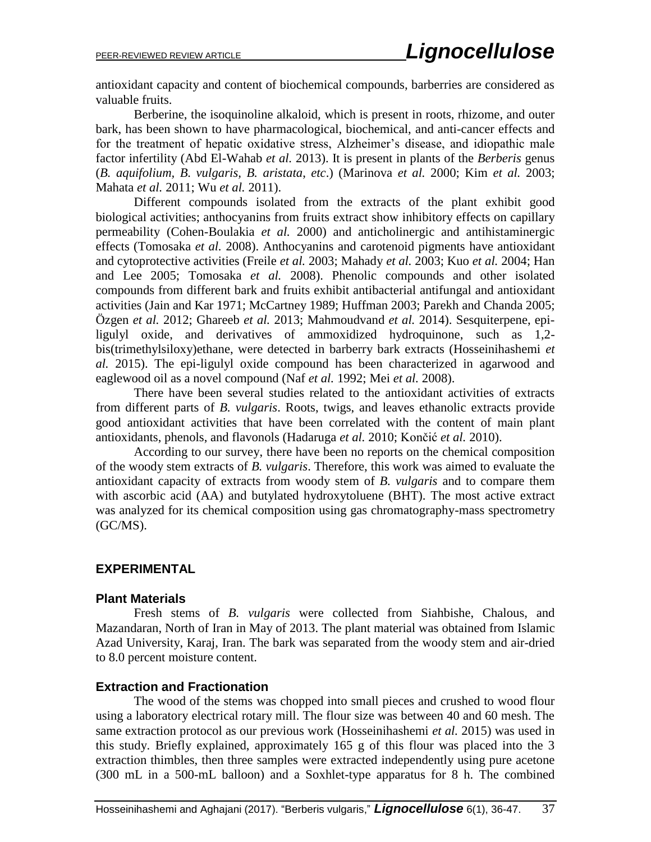antioxidant capacity and content of biochemical compounds, barberries are considered as valuable fruits.

Berberine, the isoquinoline alkaloid, which is present in roots, rhizome, and outer bark, has been shown to have pharmacological, biochemical, and anti-cancer effects and for the treatment of hepatic oxidative stress, Alzheimer's disease, and idiopathic male factor infertility (Abd El-Wahab *et al.* 2013). It is present in plants of the *Berberis* genus (*B. aquifolium, B. vulgaris, B. aristata*, *etc*.) (Marinova *et al.* 2000; Kim *et al.* 2003; Mahata *et al.* 2011; Wu *et al.* 2011).

Different compounds isolated from the extracts of the plant exhibit good biological activities; anthocyanins from fruits extract show inhibitory effects on capillary permeability (Cohen-Boulakia *et al.* 2000) and anticholinergic and antihistaminergic effects (Tomosaka *et al.* 2008). Anthocyanins and carotenoid pigments have antioxidant and cytoprotective activities (Freile *et al.* 2003; Mahady *et al.* 2003; Kuo *et al.* 2004; Han and Lee 2005; Tomosaka *et al.* 2008). Phenolic compounds and other isolated compounds from different bark and fruits exhibit antibacterial antifungal and antioxidant activities (Jain and Kar 1971; McCartney 1989; Huffman 2003; Parekh and Chanda 2005; Özgen *et al.* 2012; Ghareeb *et al.* 2013; Mahmoudvand *et al.* 2014). Sesquiterpene, epiligulyl oxide, and derivatives of ammoxidized hydroquinone, such as 1,2 bis(trimethylsiloxy)ethane, were detected in barberry bark extracts (Hosseinihashemi *et al.* 2015). The epi-ligulyl oxide compound has been characterized in agarwood and eaglewood oil as a novel compound (Naf *et al.* 1992; Mei *et al.* 2008).

There have been several studies related to the antioxidant activities of extracts from different parts of *B. vulgaris*. Roots, twigs, and leaves ethanolic extracts provide good antioxidant activities that have been correlated with the content of main plant antioxidants, phenols, and flavonols (Hadaruga *et al.* 2010; Končić *et al.* 2010).

According to our survey, there have been no reports on the chemical composition of the woody stem extracts of *B. vulgaris*. Therefore, this work was aimed to evaluate the antioxidant capacity of extracts from woody stem of *B. vulgaris* and to compare them with ascorbic acid (AA) and butylated hydroxytoluene (BHT). The most active extract was analyzed for its chemical composition using gas chromatography-mass spectrometry (GC/MS).

#### **EXPERIMENTAL**

#### **Plant Materials**

Fresh stems of *B. vulgaris* were collected from Siahbishe, Chalous, and Mazandaran, North of Iran in May of 2013. The plant material was obtained from Islamic Azad University, Karaj, Iran. The bark was separated from the woody stem and air-dried to 8.0 percent moisture content.

#### **Extraction and Fractionation**

The wood of the stems was chopped into small pieces and crushed to wood flour using a laboratory electrical rotary mill. The flour size was between 40 and 60 mesh. The same extraction protocol as our previous work (Hosseinihashemi *et al.* 2015) was used in this study. Briefly explained, approximately 165 g of this flour was placed into the 3 extraction thimbles, then three samples were extracted independently using pure acetone (300 mL in a 500-mL balloon) and a Soxhlet-type apparatus for 8 h. The combined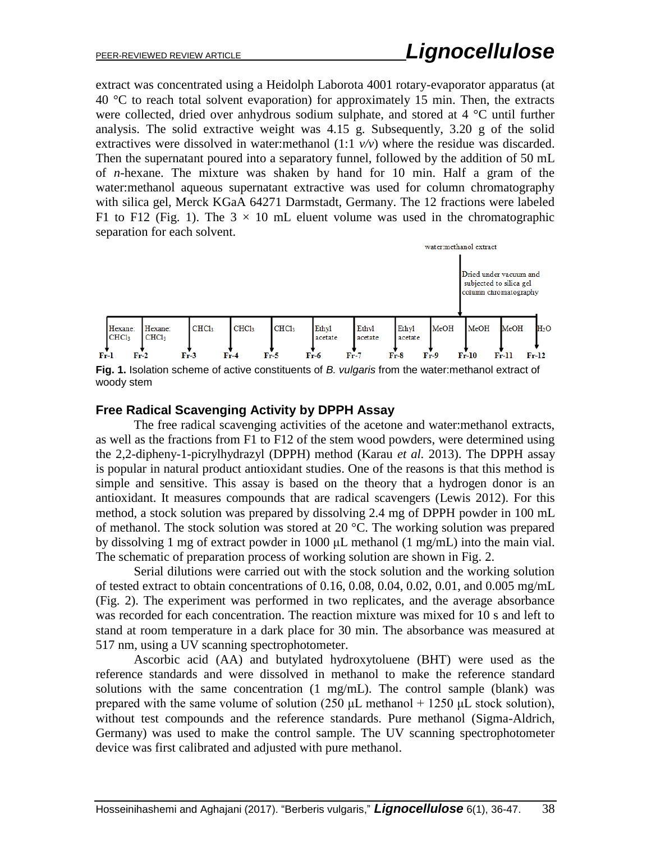extract was concentrated using a Heidolph Laborota 4001 rotary-evaporator apparatus (at  $40^{\circ}$ C to reach total solvent evaporation) for approximately 15 min. Then, the extracts were collected, dried over anhydrous sodium sulphate, and stored at 4 °C until further analysis. The solid extractive weight was 4.15 g. Subsequently, 3.20 g of the solid extractives were dissolved in water:methanol  $(1:1 \nu/\nu)$  where the residue was discarded. Then the supernatant poured into a separatory funnel, followed by the addition of 50 mL of *n*-hexane. The mixture was shaken by hand for 10 min. Half a gram of the water:methanol aqueous supernatant extractive was used for column chromatography with silica gel, Merck KGaA 64271 Darmstadt, Germany. The 12 fractions were labeled F1 to F12 (Fig. 1). The  $3 \times 10$  mL eluent volume was used in the chromatographic separation for each solvent.



**Fig. 1.** Isolation scheme of active constituents of *B. vulgaris* from the water:methanol extract of woody stem

#### **Free Radical Scavenging Activity by DPPH Assay**

The free radical scavenging activities of the acetone and water:methanol extracts, as well as the fractions from F1 to F12 of the stem wood powders, were determined using the 2,2-dipheny-1-picrylhydrazyl (DPPH) method (Karau *et al.* 2013). The DPPH assay is popular in natural product antioxidant studies. One of the reasons is that this method is simple and sensitive. This assay is based on the theory that a hydrogen donor is an antioxidant. It measures compounds that are radical scavengers (Lewis 2012). For this method, a stock solution was prepared by dissolving 2.4 mg of DPPH powder in 100 mL of methanol. The stock solution was stored at 20 °C. The working solution was prepared by dissolving 1 mg of extract powder in 1000 μL methanol (1 mg/mL) into the main vial. The schematic of preparation process of working solution are shown in Fig. 2.

Serial dilutions were carried out with the stock solution and the working solution of tested extract to obtain concentrations of  $0.16, 0.08, 0.04, 0.02, 0.01$ , and  $0.005$  mg/mL (Fig. 2). The experiment was performed in two replicates, and the average absorbance was recorded for each concentration. The reaction mixture was mixed for 10 s and left to stand at room temperature in a dark place for 30 min. The absorbance was measured at 517 nm, using a UV scanning spectrophotometer.

Ascorbic acid (AA) and butylated hydroxytoluene (BHT) were used as the reference standards and were dissolved in methanol to make the reference standard solutions with the same concentration (1 mg/mL). The control sample (blank) was prepared with the same volume of solution (250  $\mu$ L methanol + 1250  $\mu$ L stock solution), without test compounds and the reference standards. Pure methanol (Sigma-Aldrich, Germany) was used to make the control sample. The UV scanning spectrophotometer device was first calibrated and adjusted with pure methanol.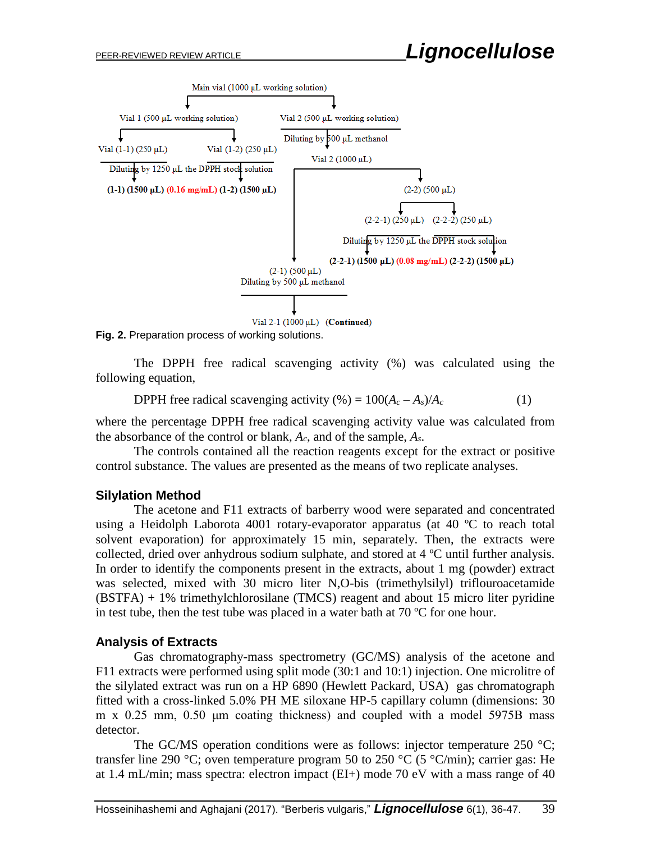

**Fig. 2.** Preparation process of working solutions.

The DPPH free radical scavenging activity (%) was calculated using the following equation,

**DPPH** free radical scavenging activity (%) =  $100(A_c - A_s)/A_c$  (1)

where the percentage DPPH free radical scavenging activity value was calculated from the absorbance of the control or blank, *Ac*, and of the sample, *As*.

The controls contained all the reaction reagents except for the extract or positive control substance. The values are presented as the means of two replicate analyses.

#### **Silylation Method**

The acetone and F11 extracts of barberry wood were separated and concentrated using a Heidolph Laborota 4001 rotary-evaporator apparatus (at 40 ºC to reach total solvent evaporation) for approximately 15 min, separately. Then, the extracts were collected, dried over anhydrous sodium sulphate, and stored at 4 ºC until further analysis. In order to identify the components present in the extracts, about 1 mg (powder) extract was selected, mixed with 30 micro liter N,O-bis (trimethylsilyl) triflouroacetamide (BSTFA) + 1% trimethylchlorosilane (TMCS) reagent and about 15 micro liter pyridine in test tube, then the test tube was placed in a water bath at 70 ºC for one hour.

#### **Analysis of Extracts**

Gas chromatography-mass spectrometry (GC/MS) analysis of the acetone and F11 extracts were performed using split mode (30:1 and 10:1) injection. One microlitre of the silylated extract was run on a HP 6890 (Hewlett Packard, USA) gas chromatograph fitted with a cross-linked 5.0% PH ME siloxane HP-5 capillary column (dimensions: 30 m x 0.25 mm, 0.50 μm coating thickness) and coupled with a model 5975B mass detector.

The GC/MS operation conditions were as follows: injector temperature 250  $\degree$ C; transfer line 290 °C; oven temperature program 50 to 250 °C (5 °C/min); carrier gas: He at 1.4 mL/min; mass spectra: electron impact (EI+) mode 70 eV with a mass range of 40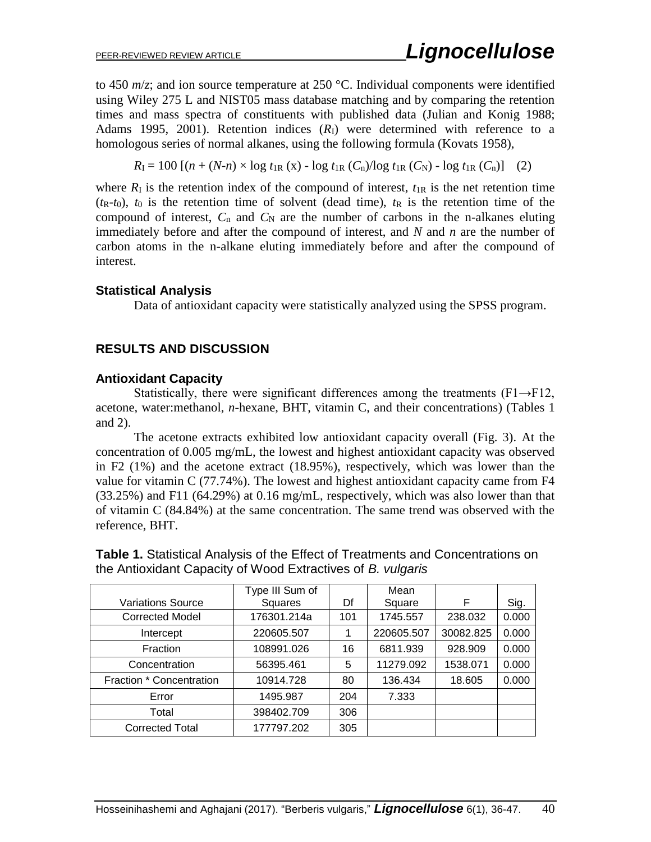to 450 *m*/*z*; and ion source temperature at 250 °C. Individual components were identified using Wiley 275 L and NIST05 mass database matching and by comparing the retention times and mass spectra of constituents with published data (Julian and Konig 1988; Adams 1995, 2001). Retention indices  $(R<sub>I</sub>)$  were determined with reference to a homologous series of normal alkanes, using the following formula (Kovats 1958),

 $R_{\text{I}} = 100 \left[ (n + (N-n) \times \log t_{1R} (x) - \log t_{1R} (C_n) / \log t_{1R} (C_N) - \log t_{1R} (C_n) \right]$  (2)

where  $R_1$  is the retention index of the compound of interest,  $t_{1R}$  is the net retention time  $(t_R-t_0)$ ,  $t_0$  is the retention time of solvent (dead time),  $t_R$  is the retention time of the compound of interest,  $C_n$  and  $C_N$  are the number of carbons in the n-alkanes eluting immediately before and after the compound of interest, and *N* and *n* are the number of carbon atoms in the n-alkane eluting immediately before and after the compound of interest.

#### **Statistical Analysis**

Data of antioxidant capacity were statistically analyzed using the SPSS program.

#### **RESULTS AND DISCUSSION**

#### **Antioxidant Capacity**

Statistically, there were significant differences among the treatments  $(F1 \rightarrow F12)$ , acetone, water:methanol, *n*-hexane, BHT, vitamin C, and their concentrations) (Tables 1 and 2).

The acetone extracts exhibited low antioxidant capacity overall (Fig. 3). At the concentration of 0.005 mg/mL, the lowest and highest antioxidant capacity was observed in F2 (1%) and the acetone extract (18.95%), respectively, which was lower than the value for vitamin C (77.74%). The lowest and highest antioxidant capacity came from F4 (33.25%) and F11 (64.29%) at 0.16 mg/mL, respectively, which was also lower than that of vitamin C (84.84%) at the same concentration. The same trend was observed with the reference, BHT.

|                          | Type III Sum of |     | Mean       |           |       |
|--------------------------|-----------------|-----|------------|-----------|-------|
| <b>Variations Source</b> | Squares         | Df  | Square     | F         | Sig.  |
| <b>Corrected Model</b>   | 176301.214a     | 101 | 1745.557   | 238.032   | 0.000 |
| Intercept                | 220605.507      |     | 220605.507 | 30082.825 | 0.000 |
| Fraction                 | 108991.026      | 16  | 6811.939   | 928.909   | 0.000 |
| Concentration            | 56395.461       | 5   | 11279.092  | 1538.071  | 0.000 |
| Fraction * Concentration | 10914.728       | 80  | 136.434    | 18.605    | 0.000 |
| Error                    | 1495.987        | 204 | 7.333      |           |       |
| Total                    | 398402.709      | 306 |            |           |       |
| <b>Corrected Total</b>   | 177797.202      | 305 |            |           |       |

**Table 1.** Statistical Analysis of the Effect of Treatments and Concentrations on the Antioxidant Capacity of Wood Extractives of *B. vulgaris*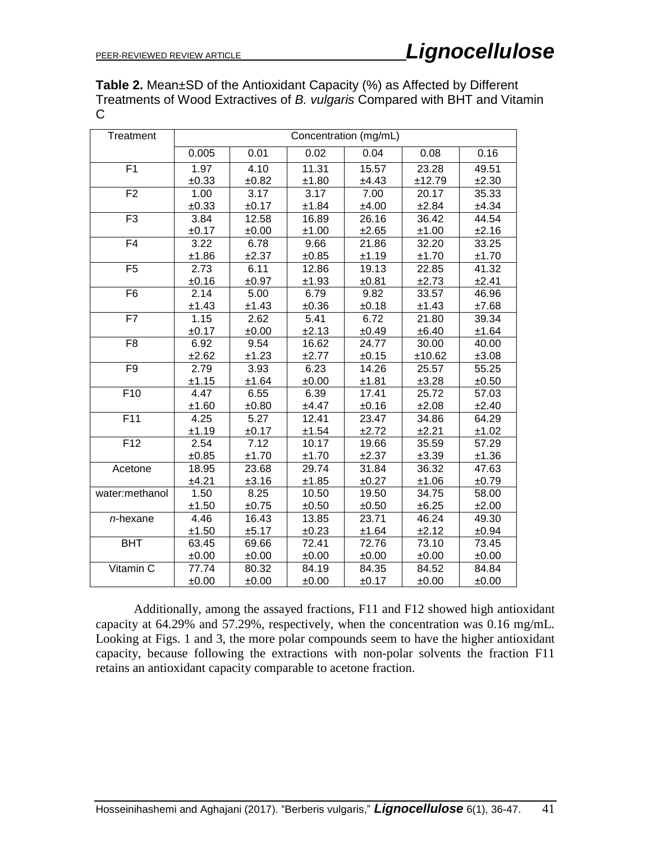**Table 2.** Mean±SD of the Antioxidant Capacity (%) as Affected by Different Treatments of Wood Extractives of *B. vulgaris* Compared with BHT and Vitamin C

| Treatment       | Concentration (mg/mL) |       |       |       |        |       |
|-----------------|-----------------------|-------|-------|-------|--------|-------|
|                 | 0.005                 | 0.01  | 0.02  | 0.04  | 0.08   | 0.16  |
| F <sub>1</sub>  | 1.97                  | 4.10  | 11.31 | 15.57 | 23.28  | 49.51 |
|                 | ±0.33                 | ±0.82 | ±1.80 | ±4.43 | ±12.79 | ±2.30 |
| F <sub>2</sub>  | 1.00                  | 3.17  | 3.17  | 7.00  | 20.17  | 35.33 |
|                 | ±0.33                 | ±0.17 | ±1.84 | ±4.00 | ±2.84  | ±4.34 |
| F3              | 3.84                  | 12.58 | 16.89 | 26.16 | 36.42  | 44.54 |
|                 | ±0.17                 | ±0.00 | ±1.00 | ±2.65 | ±1.00  | ±2.16 |
| F4              | 3.22                  | 6.78  | 9.66  | 21.86 | 32.20  | 33.25 |
|                 | ±1.86                 | ±2.37 | ±0.85 | ±1.19 | ±1.70  | ±1.70 |
| F <sub>5</sub>  | 2.73                  | 6.11  | 12.86 | 19.13 | 22.85  | 41.32 |
|                 | ±0.16                 | ±0.97 | ±1.93 | ±0.81 | ±2.73  | ±2.41 |
| F <sub>6</sub>  | 2.14                  | 5.00  | 6.79  | 9.82  | 33.57  | 46.96 |
|                 | ±1.43                 | ±1.43 | ±0.36 | ±0.18 | ±1.43  | ±7.68 |
| F7              | 1.15                  | 2.62  | 5.41  | 6.72  | 21.80  | 39.34 |
|                 | ±0.17                 | ±0.00 | ±2.13 | ±0.49 | ±6.40  | ±1.64 |
| F <sub>8</sub>  | 6.92                  | 9.54  | 16.62 | 24.77 | 30.00  | 40.00 |
|                 | ±2.62                 | ±1.23 | ±2.77 | ±0.15 | ±10.62 | ±3.08 |
| F <sub>9</sub>  | 2.79                  | 3.93  | 6.23  | 14.26 | 25.57  | 55.25 |
|                 | ±1.15                 | ±1.64 | ±0.00 | ±1.81 | ±3.28  | ±0.50 |
| F <sub>10</sub> | 4.47                  | 6.55  | 6.39  | 17.41 | 25.72  | 57.03 |
|                 | ±1.60                 | ±0.80 | ±4.47 | ±0.16 | ±2.08  | ±2.40 |
| F11             | 4.25                  | 5.27  | 12.41 | 23.47 | 34.86  | 64.29 |
|                 | ±1.19                 | ±0.17 | ±1.54 | ±2.72 | ±2.21  | ±1.02 |
| F <sub>12</sub> | 2.54                  | 7.12  | 10.17 | 19.66 | 35.59  | 57.29 |
|                 | ±0.85                 | ±1.70 | ±1.70 | ±2.37 | ±3.39  | ±1.36 |
| Acetone         | 18.95                 | 23.68 | 29.74 | 31.84 | 36.32  | 47.63 |
|                 | ±4.21                 | ±3.16 | ±1.85 | ±0.27 | ±1.06  | ±0.79 |
| water:methanol  | 1.50                  | 8.25  | 10.50 | 19.50 | 34.75  | 58.00 |
|                 | ±1.50                 | ±0.75 | ±0.50 | ±0.50 | ±6.25  | ±2.00 |
| $n$ -hexane     | 4.46                  | 16.43 | 13.85 | 23.71 | 46.24  | 49.30 |
|                 | ±1.50                 | ±5.17 | ±0.23 | ±1.64 | ±2.12  | ±0.94 |
| <b>BHT</b>      | 63.45                 | 69.66 | 72.41 | 72.76 | 73.10  | 73.45 |
|                 | ±0.00                 | ±0.00 | ±0.00 | ±0.00 | ±0.00  | ±0.00 |
| Vitamin C       | 77.74                 | 80.32 | 84.19 | 84.35 | 84.52  | 84.84 |
|                 | ±0.00                 | ±0.00 | ±0.00 | ±0.17 | ±0.00  | ±0.00 |

Additionally, among the assayed fractions, F11 and F12 showed high antioxidant capacity at 64.29% and 57.29%, respectively, when the concentration was 0.16 mg/mL. Looking at Figs. 1 and 3, the more polar compounds seem to have the higher antioxidant capacity, because following the extractions with non-polar solvents the fraction F11 retains an antioxidant capacity comparable to acetone fraction.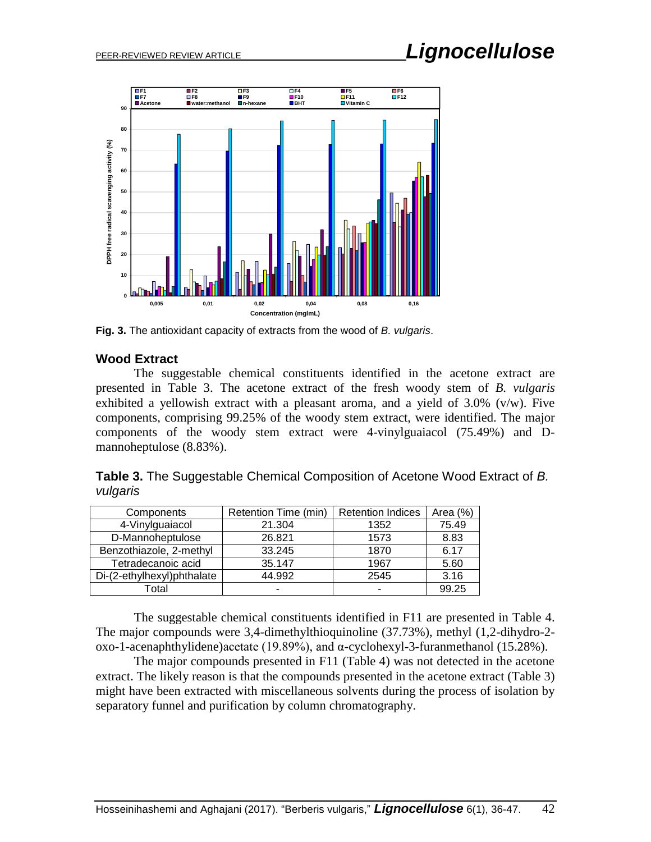

**Fig. 3.** The antioxidant capacity of extracts from the wood of *B. vulgaris*.

#### **Wood Extract**

The suggestable chemical constituents identified in the acetone extract are presented in Table 3. The acetone extract of the fresh woody stem of *B. vulgaris* exhibited a yellowish extract with a pleasant aroma, and a yield of 3.0% (v/w). Five components, comprising 99.25% of the woody stem extract, were identified. The major components of the woody stem extract were 4-vinylguaiacol (75.49%) and Dmannoheptulose (8.83%).

|          | Table 3. The Suggestable Chemical Composition of Acetone Wood Extract of B. |  |  |  |
|----------|-----------------------------------------------------------------------------|--|--|--|
| vulgaris |                                                                             |  |  |  |

| Components                 | Retention Time (min) | <b>Retention Indices</b> | Area $(\%)$ |
|----------------------------|----------------------|--------------------------|-------------|
| 4-Vinylguaiacol            | 21.304               | 1352                     | 75.49       |
| D-Mannoheptulose           | 26.821               | 1573                     | 8.83        |
| Benzothiazole, 2-methyl    | 33.245               | 1870                     | 6.17        |
| Tetradecanoic acid         | 35.147               | 1967                     | 5.60        |
| Di-(2-ethylhexyl)phthalate | 44.992               | 2545                     | 3.16        |
| Total                      |                      | -                        | 99.25       |

The suggestable chemical constituents identified in F11 are presented in Table 4. The major compounds were 3,4-dimethylthioquinoline (37.73%), methyl (1,2-dihydro-2 oxo-1-acenaphthylidene)acetate (19.89%), and α-cyclohexyl-3-furanmethanol (15.28%).

The major compounds presented in F11 (Table 4) was not detected in the acetone extract. The likely reason is that the compounds presented in the acetone extract (Table 3) might have been extracted with miscellaneous solvents during the process of isolation by separatory funnel and purification by column chromatography.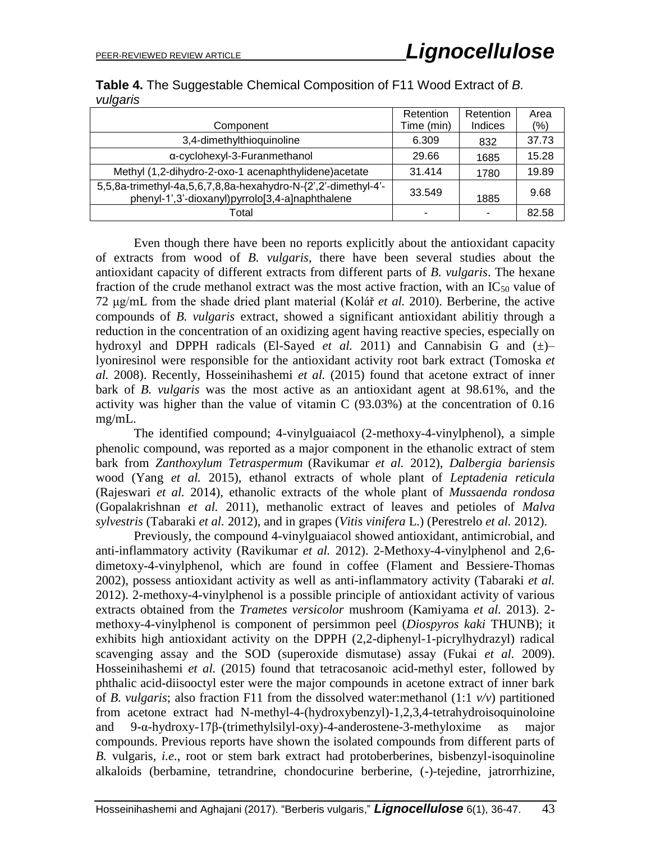|          | Table 4. The Suggestable Chemical Composition of F11 Wood Extract of B. |  |  |  |
|----------|-------------------------------------------------------------------------|--|--|--|
| vulgaris |                                                                         |  |  |  |

|                                                                                                                   | Retention  | Retention | Area  |
|-------------------------------------------------------------------------------------------------------------------|------------|-----------|-------|
| Component                                                                                                         | Time (min) | Indices   | (% )  |
| 3,4-dimethylthioquinoline                                                                                         | 6.309      | 832       | 37.73 |
| α-cyclohexyl-3-Furanmethanol                                                                                      | 29.66      | 1685      | 15.28 |
| Methyl (1,2-dihydro-2-oxo-1 acenaphthylidene) acetate                                                             | 31.414     | 1780      | 19.89 |
| 5,5,8a-trimethyl-4a,5,6,7,8,8a-hexahydro-N-{2',2'-dimethyl-4'-<br>phenyl-1',3'-dioxanyl)pyrrolo[3,4-a]naphthalene | 33.549     | 1885      | 9.68  |
| Total                                                                                                             |            |           | 82.58 |

Even though there have been no reports explicitly about the antioxidant capacity of extracts from wood of *B. vulgaris*, there have been several studies about the antioxidant capacity of different extracts from different parts of *B. vulgaris*. The hexane fraction of the crude methanol extract was the most active fraction, with an  $IC_{50}$  value of 72 μg/mL from the shade dried plant material (Kolář *et al.* 2010). Berberine, the active compounds of *B. vulgaris* extract, showed a significant antioxidant abilitiy through a reduction in the concentration of an oxidizing agent having reactive species, especially on hydroxyl and DPPH radicals (El-Sayed *et al.* 2011) and Cannabisin G and  $(\pm)$ lyoniresinol were responsible for the antioxidant activity root bark extract (Tomoska *et al.* 2008). Recently, Hosseinihashemi *et al.* (2015) found that acetone extract of inner bark of *B. vulgaris* was the most active as an antioxidant agent at 98.61%, and the activity was higher than the value of vitamin C (93.03%) at the concentration of 0.16 mg/mL.

The identified compound; 4-vinylguaiacol (2-methoxy-4-vinylphenol), a simple phenolic compound, was reported as a major component in the ethanolic extract of stem bark from *Zanthoxylum Tetraspermum* (Ravikumar *et al.* 2012), *Dalbergia bariensis*  wood (Yang *et al.* 2015), ethanol extracts of whole plant of *Leptadenia reticula* (Rajeswari *et al.* 2014), ethanolic extracts of the whole plant of *Mussaenda rondosa* (Gopalakrishnan *et al.* 2011), methanolic extract of leaves and petioles of *Malva sylvestris* (Tabaraki *et al.* 2012), and in grapes (*Vitis vinifera* L.) (Perestrelo *et al.* 2012).

Previously, the compound 4-vinylguaiacol showed antioxidant, antimicrobial, and anti-inflammatory activity (Ravikumar *et al.* 2012). 2-Methoxy-4-vinylphenol and 2,6 dimetoxy-4-vinylphenol, which are found in coffee (Flament and Bessiere-Thomas 2002), possess antioxidant activity as well as anti-inflammatory activity (Tabaraki *et al.* 2012). 2-methoxy-4-vinylphenol is a possible principle of antioxidant activity of various extracts obtained from the *Trametes versicolor* mushroom (Kamiyama *et al.* 2013). 2 methoxy-4-vinylphenol is component of persimmon peel (*Diospyros kaki* THUNB); it exhibits high antioxidant activity on the DPPH (2,2-diphenyl-1-picrylhydrazyl) radical scavenging assay and the SOD (superoxide dismutase) assay (Fukai *et al.* 2009). Hosseinihashemi *et al.* (2015) found that tetracosanoic acid-methyl ester, followed by phthalic acid-diisooctyl ester were the major compounds in acetone extract of inner bark of *B. vulgaris*; also fraction F11 from the dissolved water:methanol (1:1 *v/v*) partitioned from acetone extract had N-methyl-4-(hydroxybenzyl)-1,2,3,4-tetrahydroisoquinoloine and 9-α-hydroxy-17β-(trimethylsilyl-oxy)-4-anderostene-3-methyloxime as major compounds. Previous reports have shown the isolated compounds from different parts of *B.* vulgaris, *i.e.*, root or stem bark extract had protoberberines, bisbenzyl-isoquinoline alkaloids (berbamine, tetrandrine, chondocurine berberine, (-)-tejedine, jatrorrhizine,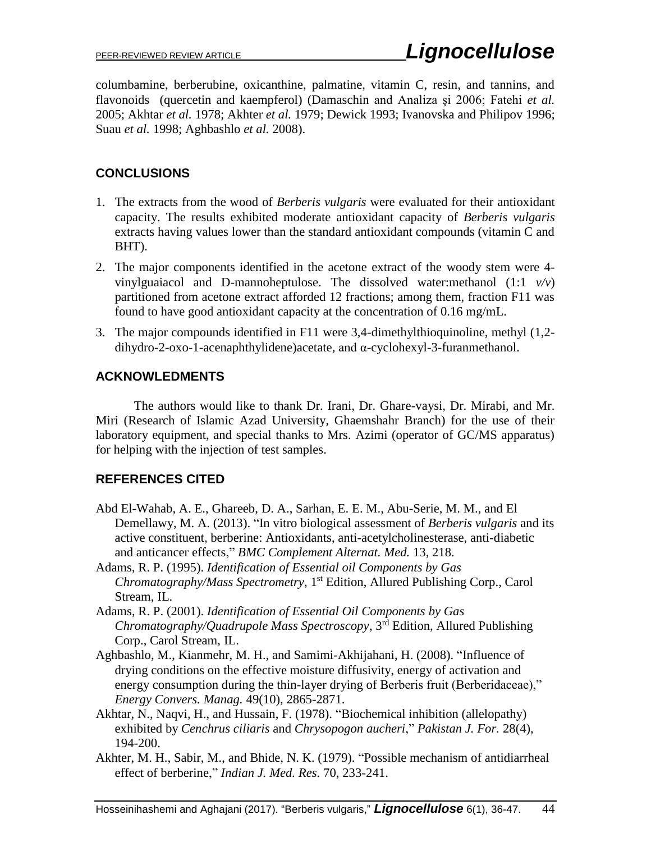columbamine, berberubine, oxicanthine, palmatine, vitamin C, resin, and tannins, and flavonoids (quercetin and kaempferol) (Damaschin and Analiza şi 2006; Fatehi *et al.* 2005; Akhtar *et al.* 1978; Akhter *et al.* 1979; Dewick 1993; Ivanovska and Philipov 1996; Suau *et al.* 1998; Aghbashlo *et al.* 2008).

# **CONCLUSIONS**

- 1. The extracts from the wood of *Berberis vulgaris* were evaluated for their antioxidant capacity. The results exhibited moderate antioxidant capacity of *Berberis vulgaris* extracts having values lower than the standard antioxidant compounds (vitamin C and BHT).
- 2. The major components identified in the acetone extract of the woody stem were 4 vinylguaiacol and D-mannoheptulose. The dissolved water:methanol (1:1 *v/v*) partitioned from acetone extract afforded 12 fractions; among them, fraction F11 was found to have good antioxidant capacity at the concentration of 0.16 mg/mL.
- 3. The major compounds identified in F11 were 3,4-dimethylthioquinoline, methyl (1,2 dihydro-2-oxo-1-acenaphthylidene)acetate, and α-cyclohexyl-3-furanmethanol.

## **ACKNOWLEDMENTS**

The authors would like to thank Dr. Irani, Dr. Ghare-vaysi, Dr. Mirabi, and Mr. Miri (Research of Islamic Azad University, Ghaemshahr Branch) for the use of their laboratory equipment, and special thanks to Mrs. Azimi (operator of GC/MS apparatus) for helping with the injection of test samples.

## **REFERENCES CITED**

- Abd El-Wahab, A. E., Ghareeb, D. A., Sarhan, E. E. M., Abu-Serie, M. M., and El Demellawy, M. A. (2013). "In vitro biological assessment of *Berberis vulgaris* and its active constituent, berberine: Antioxidants, anti-acetylcholinesterase, anti-diabetic and anticancer effects," *BMC Complement Alternat. Med.* 13, 218.
- Adams, R. P. (1995). *Identification of Essential oil Components by Gas Chromatography/Mass Spectrometry*, 1<sup>st</sup> Edition, Allured Publishing Corp., Carol Stream, IL.
- Adams, R. P. (2001). *Identification of Essential Oil Components by Gas Chromatography/Quadrupole Mass Spectroscopy*, 3 rd Edition, Allured Publishing Corp., Carol Stream, IL.
- Aghbashlo, M., Kianmehr, M. H., and Samimi-Akhijahani, H. (2008). "Influence of drying conditions on the effective moisture diffusivity, energy of activation and energy consumption during the thin-layer drying of Berberis fruit (Berberidaceae)," *Energy Convers. Manag.* 49(10), 2865-2871.
- Akhtar, N., Naqvi, H., and Hussain, F. (1978). "Biochemical inhibition (allelopathy) exhibited by *Cenchrus ciliaris* and *Chrysopogon aucheri*," *Pakistan J. For.* 28(4), 194-200.
- Akhter, M. H., Sabir, M., and Bhide, N. K. (1979). "Possible mechanism of antidiarrheal effect of berberine," *Indian J. Med. Res.* 70, 233-241.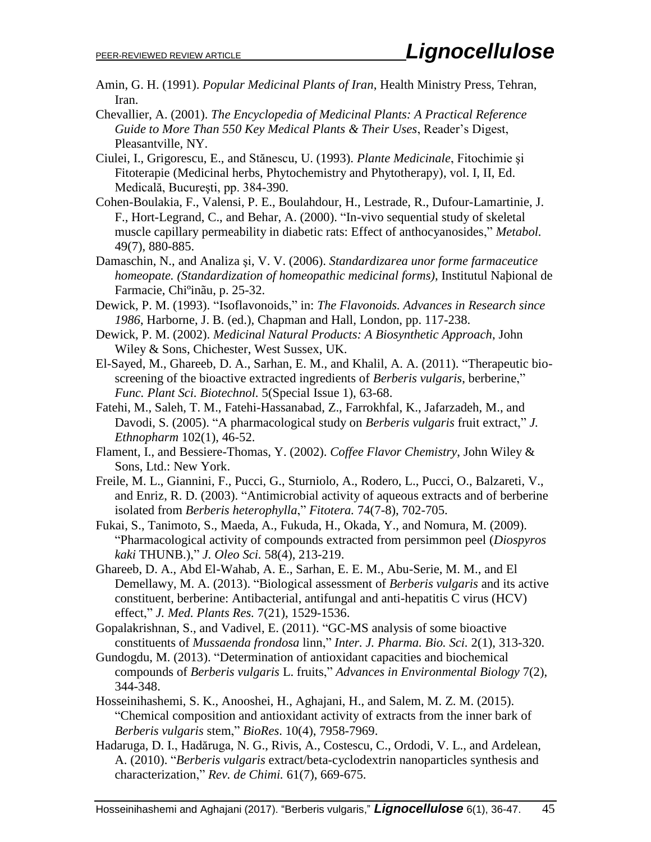- Amin, G. H. (1991). *Popular Medicinal Plants of Iran*, Health Ministry Press, Tehran, Iran.
- Chevallier, A. (2001). *The Encyclopedia of Medicinal Plants: A Practical Reference Guide to More Than 550 Key Medical Plants & Their Uses*, Reader's Digest, Pleasantville, NY.
- Ciulei, I., Grigorescu, E., and Stănescu, U. (1993). *Plante Medicinale*, Fitochimie şi Fitoterapie (Medicinal herbs, Phytochemistry and Phytotherapy), vol. I, II, Ed. Medicală, Bucureşti, pp. 384-390.
- Cohen-Boulakia, F., Valensi, P. E., Boulahdour, H., Lestrade, R., Dufour-Lamartinie, J. F., Hort-Legrand, C., and Behar, A. (2000). "In-vivo sequential study of skeletal muscle capillary permeability in diabetic rats: Effect of anthocyanosides," *Metabol.* 49(7), 880-885.
- Damaschin, N., and Analiza şi, V. V. (2006). *Standardizarea unor forme farmaceutice homeopate. (Standardization of homeopathic medicinal forms)*, Institutul Naþional de Farmacie, Chiºinãu, p. 25-32.
- Dewick, P. M. (1993). "Isoflavonoids," in: *The Flavonoids. Advances in Research since 1986*, Harborne, J. B. (ed.), Chapman and Hall, London, pp. 117-238.
- Dewick, P. M. (2002). *Medicinal Natural Products: A Biosynthetic Approach*, John Wiley & Sons, Chichester, West Sussex, UK.
- El-Sayed, M., Ghareeb, D. A., Sarhan, E. M., and Khalil, A. A. (2011). "Therapeutic bioscreening of the bioactive extracted ingredients of *Berberis vulgaris*, berberine," *Func. Plant Sci. Biotechnol.* 5(Special Issue 1), 63-68.
- Fatehi, M., Saleh, T. M., Fatehi-Hassanabad, Z., Farrokhfal, K., Jafarzadeh, M., and Davodi, S. (2005). "A pharmacological study on *Berberis vulgaris* fruit extract," *J. Ethnopharm* 102(1), 46-52.
- Flament, I., and Bessiere-Thomas, Y. (2002). *Coffee Flavor Chemistry*, John Wiley & Sons, Ltd.: New York.
- [Freile,](http://www.ncbi.nlm.nih.gov/pubmed/?term=Freile%20ML%5BAuthor%5D&cauthor=true&cauthor_uid=14630179) M. L., [Giannini,](http://www.ncbi.nlm.nih.gov/pubmed/?term=Giannini%20F%5BAuthor%5D&cauthor=true&cauthor_uid=14630179) F., [Pucci,](http://www.ncbi.nlm.nih.gov/pubmed/?term=Pucci%20G%5BAuthor%5D&cauthor=true&cauthor_uid=14630179) G., [Sturniolo,](http://www.ncbi.nlm.nih.gov/pubmed/?term=Sturniolo%20A%5BAuthor%5D&cauthor=true&cauthor_uid=14630179) A., [Rodero,](http://www.ncbi.nlm.nih.gov/pubmed/?term=Rodero%20L%5BAuthor%5D&cauthor=true&cauthor_uid=14630179) L., [Pucci,](http://www.ncbi.nlm.nih.gov/pubmed/?term=Pucci%20O%5BAuthor%5D&cauthor=true&cauthor_uid=14630179) O., [Balzareti,](http://www.ncbi.nlm.nih.gov/pubmed/?term=Balzareti%20V%5BAuthor%5D&cauthor=true&cauthor_uid=14630179) V., and [Enriz,](http://www.ncbi.nlm.nih.gov/pubmed/?term=Enriz%20RD%5BAuthor%5D&cauthor=true&cauthor_uid=14630179) R. D. (2003). "Antimicrobial activity of aqueous extracts and of berberine isolated from *Berberis heterophylla*," *Fitotera.* 74(7-8), 702-705.
- Fukai, S., Tanimoto, S., Maeda, A., Fukuda, H., Okada, Y., and Nomura, M. (2009). "Pharmacological activity of compounds extracted from persimmon peel (*Diospyros kaki* THUNB.)," *J. Oleo Sci.* 58(4), 213-219.
- Ghareeb, D. A., Abd El-Wahab, A. E., Sarhan, E. E. M., Abu-Serie, M. M., and El Demellawy, M. A. (2013). "Biological assessment of *Berberis vulgaris* and its active constituent, berberine: Antibacterial, antifungal and anti-hepatitis C virus (HCV) effect," *J. Med. Plants Res.* 7(21), 1529-1536.
- Gopalakrishnan, S., and Vadivel, E. (2011). "GC-MS analysis of some bioactive constituents of *Mussaenda frondosa* linn," *Inter. J. Pharma. Bio. Sci.* 2(1), 313-320.
- Gundogdu, M. (2013). "Determination of antioxidant capacities and biochemical compounds of *Berberis vulgaris* L. fruits," *Advances in Environmental Biology* 7(2), 344-348.
- Hosseinihashemi, S. K., Anooshei, H., Aghajani, H., and Salem, M. Z. M. (2015). "Chemical composition and antioxidant activity of extracts from the inner bark of *Berberis vulgaris* stem," *BioRes*. 10(4), 7958-7969.
- Hadaruga, D. I., Hadăruga, N. G., Rivis, A., Costescu, C., Ordodi, V. L., and Ardelean, A. (2010). "*Berberis vulgaris* extract/beta-cyclodextrin nanoparticles synthesis and characterization," *Rev. de Chimi.* 61(7), 669-675.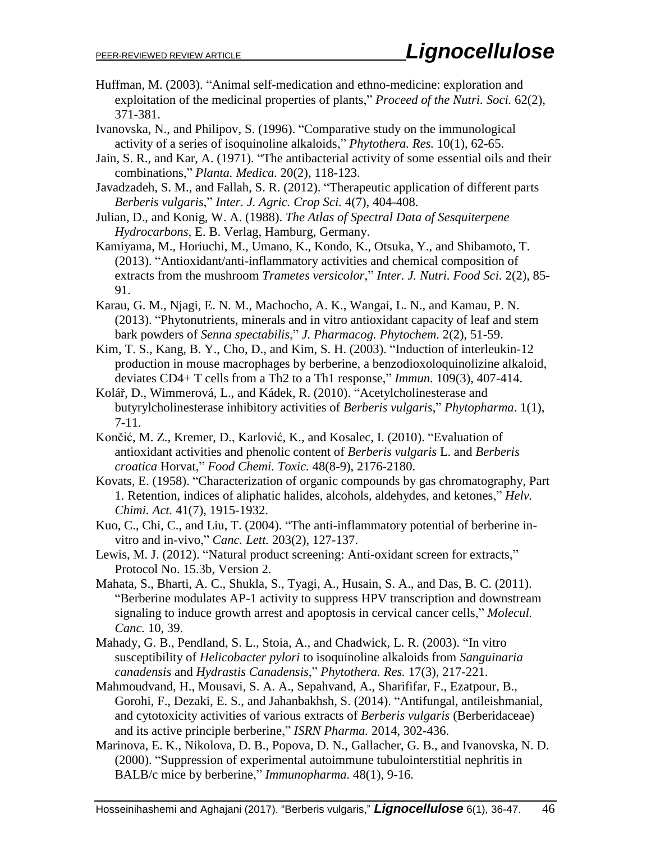- Huffman, M. (2003). "Animal self-medication and ethno-medicine: exploration and exploitation of the medicinal properties of plants," *Proceed of the Nutri. Soci.* 62(2), 371-381.
- Ivanovska, N., and Philipov, S. (1996). "Comparative study on the immunological activity of a series of isoquinoline alkaloids," *Phytothera. Res.* 10(1), 62-65.
- Jain, S. R., and Kar, A. (1971). "The antibacterial activity of some essential oils and their combinations," *Planta. Medica.* 20(2), 118-123.
- Javadzadeh, S. M., and Fallah, S. R. (2012). "Therapeutic application of different parts *Berberis vulgaris*," *Inter. J. Agric. Crop Sci.* 4(7), 404-408.
- Julian, D., and Konig, W. A. (1988). *The Atlas of Spectral Data of Sesquiterpene Hydrocarbons*, E. B. Verlag, Hamburg, Germany.
- Kamiyama, M., Horiuchi, M., Umano, K., Kondo, K., Otsuka, Y., and Shibamoto, T. (2013). "Antioxidant/anti-inflammatory activities and chemical composition of extracts from the mushroom *Trametes versicolor*," *Inter. J. Nutri. Food Sci.* 2(2), 85- 91.
- Karau, G. M., Njagi, E. N. M., Machocho, A. K., Wangai, L. N., and Kamau, P. N. (2013). "Phytonutrients, minerals and in vitro antioxidant capacity of leaf and stem bark powders of *Senna spectabilis*," *J. Pharmacog. Phytochem*. 2(2), 51-59.
- Kim, T. S., Kang, B. Y., Cho, D., and Kim, S. H. (2003). "Induction of interleukin-12 production in mouse macrophages by berberine, a benzodioxoloquinolizine alkaloid, deviates CD4+ T cells from a Th2 to a Th1 response," *Immun.* 109(3), 407-414.
- Kolář, D., Wimmerová, L., and Kádek, R. (2010). "Acetylcholinesterase and butyrylcholinesterase inhibitory activities of *Berberis vulgaris*," *Phytopharma*. 1(1), 7-11.
- Končić, M. Z., Kremer, D., Karlović, K., and Kosalec, I. (2010). "Evaluation of antioxidant activities and phenolic content of *Berberis vulgaris* L. and *Berberis croatica* Horvat," *[Food Chemi.](http://www.sciencedirect.com/science/journal/02786915) Toxic.* [48\(](http://www.sciencedirect.com/science/journal/02786915/48/8)8-9), 2176-2180.
- Kovats, E. (1958). "Characterization of organic compounds by gas chromatography, Part 1. Retention, indices of aliphatic halides, alcohols, aldehydes, and ketones," *Helv. Chimi. Act.* 41(7), 1915-1932.
- Kuo, C., Chi, C., and Liu, T. (2004). "The anti-inflammatory potential of berberine invitro and in-vivo," *Canc. Lett.* 203(2), 127-137.
- Lewis, M. J. (2012). "Natural product screening: Anti-oxidant screen for extracts," Protocol No. 15.3b, Version 2.
- Mahata, S., Bharti, A. C., Shukla, S., Tyagi, A., Husain, S. A., and Das, B. C. (2011). "Berberine modulates AP-1 activity to suppress HPV transcription and downstream signaling to induce growth arrest and apoptosis in cervical cancer cells," *Molecul. Canc.* 10, 39.
- Mahady, G. B., Pendland, S. L., Stoia, A., and Chadwick, L. R. (2003). "In vitro susceptibility of *Helicobacter pylori* to isoquinoline alkaloids from *Sanguinaria canadensis* and *Hydrastis Canadensis*," *Phytothera. Res.* 17(3), 217-221.
- Mahmoudvand, H., Mousavi, S. A. A., Sepahvand, A., Sharififar, F., Ezatpour, B., Gorohi, F., Dezaki, E. S., and Jahanbakhsh, S. (2014). "Antifungal, antileishmanial, and cytotoxicity activities of various extracts of *Berberis vulgaris* (Berberidaceae) and its active principle berberine," *ISRN Pharma.* 2014, 302-436.
- Marinova, E. K., Nikolova, D. B., Popova, D. N., Gallacher, G. B., and Ivanovska, N. D. (2000). "Suppression of experimental autoimmune tubulointerstitial nephritis in BALB/c mice by berberine," *Immunopharma.* 48(1), 9-16.